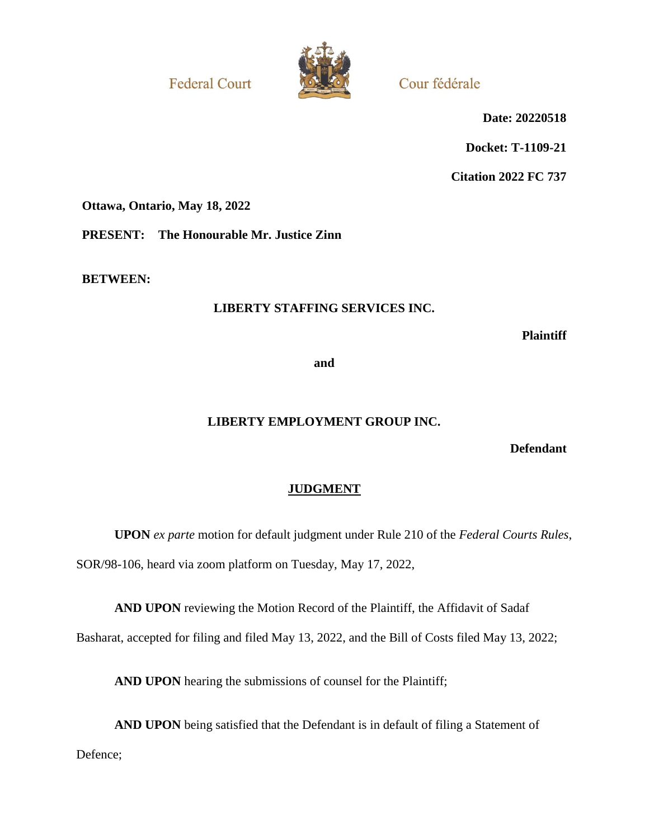**Federal Court** 



Cour fédérale

**Date: 20220518**

**Docket: T-1109-21**

**Citation 2022 FC 737**

**Ottawa, Ontario, May 18, 2022**

**PRESENT: The Honourable Mr. Justice Zinn**

**BETWEEN:**

## **LIBERTY STAFFING SERVICES INC.**

**Plaintiff**

**and**

## **LIBERTY EMPLOYMENT GROUP INC.**

**Defendant**

## **JUDGMENT**

**UPON** *ex parte* motion for default judgment under Rule 210 of the *Federal Courts Rules*, SOR/98-106, heard via zoom platform on Tuesday, May 17, 2022,

**AND UPON** reviewing the Motion Record of the Plaintiff, the Affidavit of Sadaf

Basharat, accepted for filing and filed May 13, 2022, and the Bill of Costs filed May 13, 2022;

**AND UPON** hearing the submissions of counsel for the Plaintiff;

**AND UPON** being satisfied that the Defendant is in default of filing a Statement of Defence;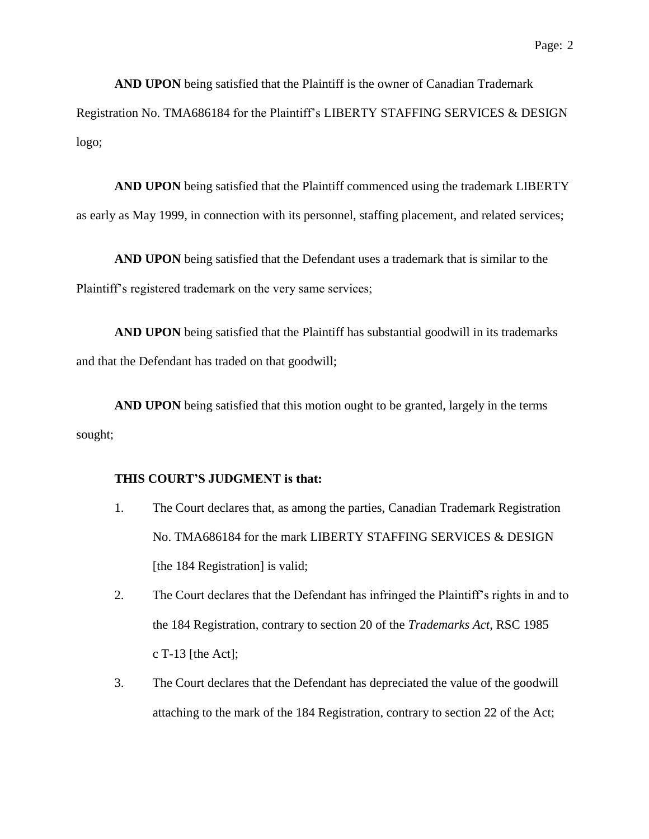**AND UPON** being satisfied that the Plaintiff is the owner of Canadian Trademark Registration No. TMA686184 for the Plaintiff's LIBERTY STAFFING SERVICES & DESIGN logo;

**AND UPON** being satisfied that the Plaintiff commenced using the trademark LIBERTY as early as May 1999, in connection with its personnel, staffing placement, and related services;

**AND UPON** being satisfied that the Defendant uses a trademark that is similar to the Plaintiff's registered trademark on the very same services;

**AND UPON** being satisfied that the Plaintiff has substantial goodwill in its trademarks and that the Defendant has traded on that goodwill;

**AND UPON** being satisfied that this motion ought to be granted, largely in the terms sought;

## **THIS COURT'S JUDGMENT is that:**

- 1. The Court declares that, as among the parties, Canadian Trademark Registration No. TMA686184 for the mark LIBERTY STAFFING SERVICES & DESIGN [the 184 Registration] is valid;
- 2. The Court declares that the Defendant has infringed the Plaintiff's rights in and to the 184 Registration, contrary to section 20 of the *Trademarks Act*, RSC 1985 c T-13 [the Act];
- 3. The Court declares that the Defendant has depreciated the value of the goodwill attaching to the mark of the 184 Registration, contrary to section 22 of the Act;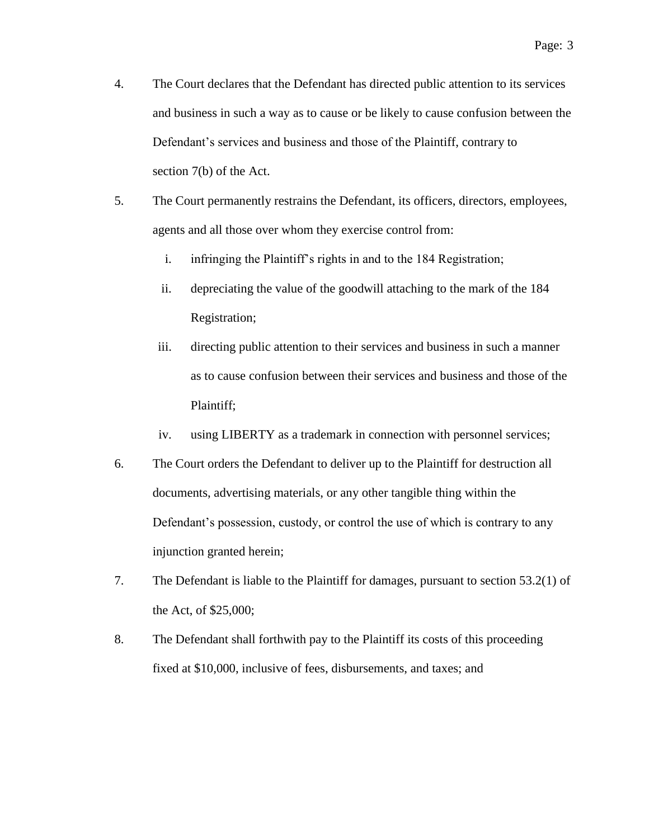- 4. The Court declares that the Defendant has directed public attention to its services and business in such a way as to cause or be likely to cause confusion between the Defendant's services and business and those of the Plaintiff, contrary to section 7(b) of the Act.
- 5. The Court permanently restrains the Defendant, its officers, directors, employees, agents and all those over whom they exercise control from:
	- i. infringing the Plaintiff's rights in and to the 184 Registration;
	- ii. depreciating the value of the goodwill attaching to the mark of the 184 Registration;
	- iii. directing public attention to their services and business in such a manner as to cause confusion between their services and business and those of the Plaintiff;
	- iv. using LIBERTY as a trademark in connection with personnel services;
- 6. The Court orders the Defendant to deliver up to the Plaintiff for destruction all documents, advertising materials, or any other tangible thing within the Defendant's possession, custody, or control the use of which is contrary to any injunction granted herein;
- 7. The Defendant is liable to the Plaintiff for damages, pursuant to section 53.2(1) of the Act, of \$25,000;
- 8. The Defendant shall forthwith pay to the Plaintiff its costs of this proceeding fixed at \$10,000, inclusive of fees, disbursements, and taxes; and